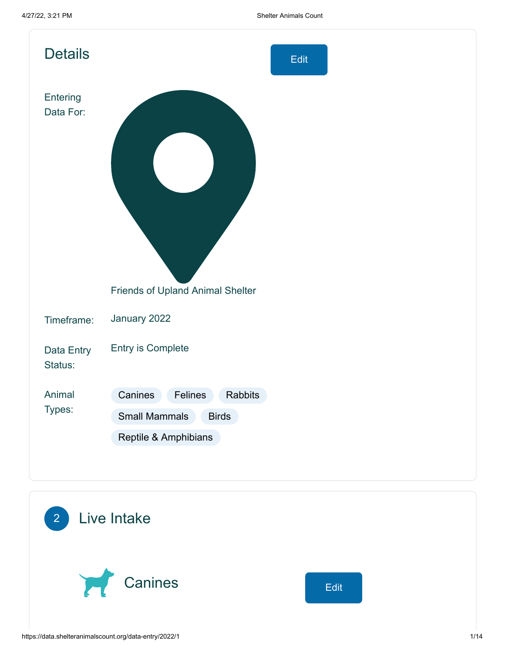| <b>Details</b>        | Edit                                                                                          |
|-----------------------|-----------------------------------------------------------------------------------------------|
| Entering<br>Data For: |                                                                                               |
|                       | Friends of Upland Animal Shelter                                                              |
| Timeframe:            | January 2022                                                                                  |
| Data Entry<br>Status: | <b>Entry is Complete</b>                                                                      |
| Animal<br>Types:      | Canines<br>Felines<br>Rabbits<br><b>Small Mammals</b><br><b>Birds</b><br>Reptile & Amphibians |

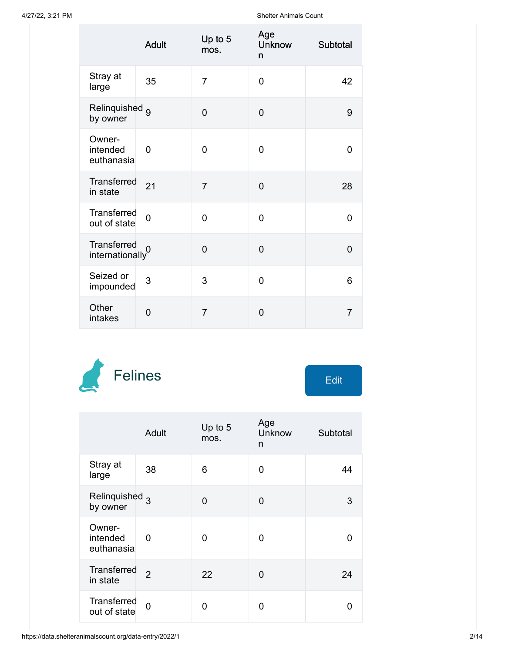|                                              | <b>Adult</b>   | Up to 5<br>mos. | Age<br><b>Unknow</b><br>n | Subtotal       |
|----------------------------------------------|----------------|-----------------|---------------------------|----------------|
| Stray at<br>large                            | 35             | $\overline{7}$  | $\overline{0}$            | 42             |
| Relinquished <sub>9</sub><br>by owner        |                | $\overline{0}$  | $\overline{0}$            | 9              |
| Owner-<br>intended<br>euthanasia             | $\overline{0}$ | $\overline{0}$  | $\overline{0}$            | $\overline{0}$ |
| Transferred<br>in state                      | 21             | $\overline{7}$  | $\overline{0}$            | 28             |
| Transferred<br>out of state                  | $\overline{0}$ | $\overline{0}$  | $\overline{0}$            | $\overline{0}$ |
| Transferred<br>$\frac{1}{2}$ internationally |                | $\overline{0}$  | $\overline{0}$            | $\overline{0}$ |
| Seized or<br>impounded                       | 3              | 3               | $\overline{0}$            | 6              |
| Other<br>intakes                             | $\overline{0}$ | $\overline{7}$  | $\overline{0}$            | $\overline{7}$ |



|                                       | Adult          | Up to 5<br>mos. | Age<br><b>Unknow</b><br>n | Subtotal |
|---------------------------------------|----------------|-----------------|---------------------------|----------|
| Stray at<br>large                     | 38             | 6               | O                         | 44       |
| Relinquished <sub>3</sub><br>by owner |                | 0               | 0                         | 3        |
| Owner-<br>intended<br>euthanasia      | 0              | 0               | 0                         | O        |
| Transferred<br>in state               | $\mathfrak{p}$ | 22              | 0                         | 24       |
| Transferred<br>out of state           | $\Omega$       | 0               | ი                         | n        |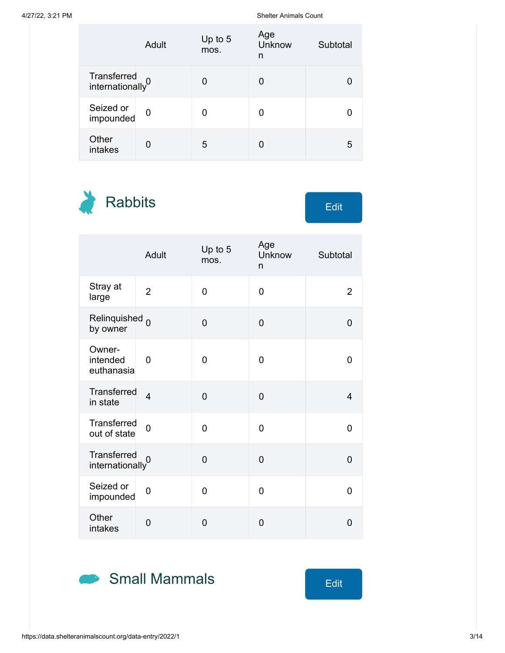|                                             | Adult       | Up to 5<br>mos. | Age<br><b>Unknow</b><br>n | Subtotal |
|---------------------------------------------|-------------|-----------------|---------------------------|----------|
| Transferred<br>internationally <sup>0</sup> |             | O               | 0                         |          |
| Seized or<br>impounded                      | $\mathbf 0$ |                 | 0                         |          |
| Other<br>intakes                            | U           | 5               |                           | 5        |

Rabbits Edit

|                                             | <b>Adult</b>            | Up to 5<br>mos. | Age<br>Unknow<br>n | Subtotal       |
|---------------------------------------------|-------------------------|-----------------|--------------------|----------------|
| Stray at<br>large                           | $\overline{2}$          | 0               | 0                  | $\overline{2}$ |
| Relinquished <sub>0</sub><br>by owner       |                         | 0               | $\overline{0}$     | 0              |
| Owner-<br>intended<br>euthanasia            | 0                       | 0               | 0                  | 0              |
| Transferred<br>in state                     | $\overline{\mathbf{4}}$ | 0               | $\overline{0}$     | $\overline{4}$ |
| Transferred<br>out of state                 | $\overline{0}$          | 0               | $\overline{0}$     | 0              |
| Transferred<br>internationally <sup>0</sup> |                         | $\overline{0}$  | $\overline{0}$     | $\overline{0}$ |
| Seized or<br>impounded                      | 0                       | 0               | 0                  | 0              |
| Other<br>intakes                            | $\overline{0}$          | $\overline{0}$  | $\overline{0}$     | $\overline{0}$ |

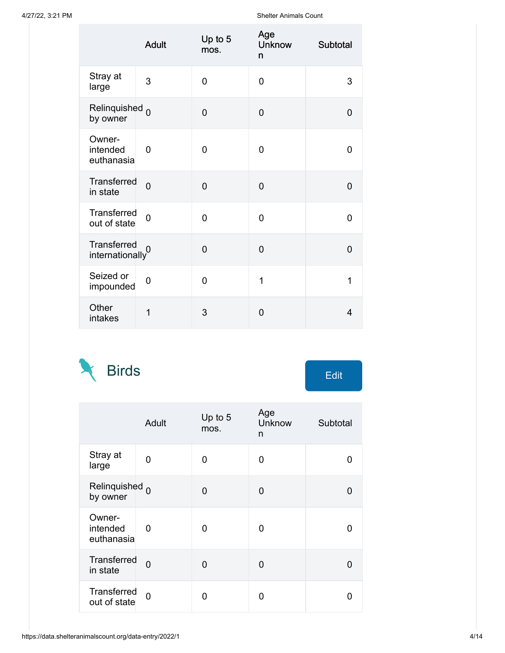|                                              | <b>Adult</b>   | Up to 5<br>mos. | Age<br><b>Unknow</b><br>n | Subtotal       |
|----------------------------------------------|----------------|-----------------|---------------------------|----------------|
| Stray at<br>large                            | 3              | $\overline{0}$  | $\overline{0}$            | 3              |
| Relinquished <sub>0</sub><br>by owner        |                | $\overline{0}$  | $\overline{0}$            | $\overline{0}$ |
| Owner-<br>intended<br>euthanasia             | $\overline{0}$ | $\overline{0}$  | 0                         | $\overline{0}$ |
| <b>Transferred</b><br>in state               | $\overline{0}$ | $\overline{0}$  | $\overline{0}$            | $\overline{0}$ |
| Transferred<br>out of state                  | $\overline{0}$ | $\overline{0}$  | $\overline{0}$            | 0              |
| Transferred<br>$\frac{1}{2}$ internationally |                | $\overline{0}$  | $\overline{0}$            | $\overline{0}$ |
| Seized or<br>impounded                       | $\overline{0}$ | $\overline{0}$  | 1                         | 1              |
| Other<br>intakes                             | 1              | 3               | 0                         | 4              |



|  | Fdit |  |
|--|------|--|
|  |      |  |

|                                       | Adult          | Up to 5<br>mos. | Age<br>Unknow<br>n | Subtotal |
|---------------------------------------|----------------|-----------------|--------------------|----------|
| Stray at<br>large                     | 0              | 0               | 0                  | ŋ        |
| Relinquished <sub>0</sub><br>by owner |                | 0               | 0                  | O        |
| Owner-<br>intended<br>euthanasia      | 0              | 0               | 0                  | O        |
| <b>Transferred</b><br>in state        | $\overline{0}$ | 0               | 0                  | U        |
| Transferred<br>out of state           | 0              | 0               | n                  | n        |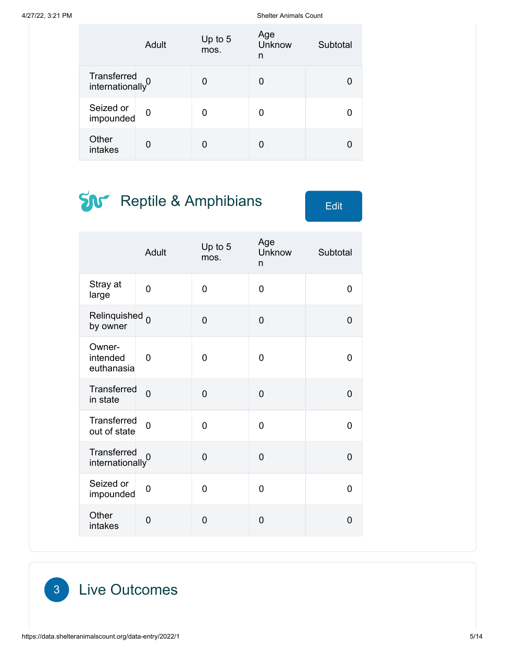|                                             | Adult          | Up to $5$<br>mos. | Age<br>Unknow<br>n | Subtotal |
|---------------------------------------------|----------------|-------------------|--------------------|----------|
| Transferred<br>internationally <sup>0</sup> |                | O                 | 0                  |          |
| Seized or<br>impounded                      | $\overline{0}$ | N                 | 0                  |          |
| Other<br>intakes                            | 0              |                   |                    |          |

# **SN** Reptile & Amphibians Edit

|                                             | Adult          | Up to 5<br>mos. | Age<br>Unknow<br>n | Subtotal       |
|---------------------------------------------|----------------|-----------------|--------------------|----------------|
| Stray at<br>large                           | 0              | 0               | 0                  | 0              |
| Relinquished <sub>0</sub><br>by owner       |                | $\overline{0}$  | 0                  | $\overline{0}$ |
| Owner-<br>intended<br>euthanasia            | $\overline{0}$ | 0               | 0                  | 0              |
| <b>Transferred</b><br>in state              | $\overline{0}$ | $\overline{0}$  | 0                  | 0              |
| Transferred<br>out of state                 | $\overline{0}$ | $\overline{0}$  | $\overline{0}$     | $\overline{0}$ |
| Transferred<br>internationally <sup>0</sup> |                | 0               | 0                  | $\overline{0}$ |
| Seized or<br>impounded                      | 0              | 0               | 0                  | $\overline{0}$ |
| Other<br>intakes                            | $\overline{0}$ | 0               | $\overline{0}$     | $\overline{0}$ |

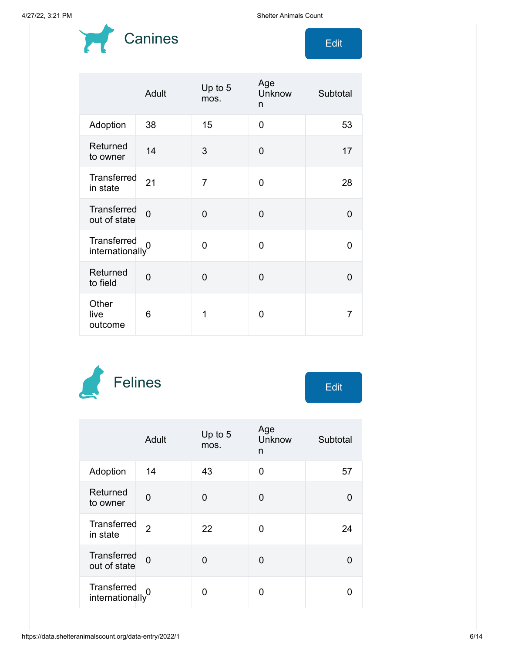

|                                    | Adult          | Up to 5<br>mos. | Age<br><b>Unknow</b><br>n | Subtotal |
|------------------------------------|----------------|-----------------|---------------------------|----------|
| Adoption                           | 38             | 15              | 0                         | 53       |
| Returned<br>to owner               | 14             | 3               | 0                         | 17       |
| Transferred<br>in state            | 21             | $\overline{7}$  | $\Omega$                  | 28       |
| <b>Transferred</b><br>out of state | $\Omega$       | $\Omega$        | $\mathbf 0$               | $\Omega$ |
| Transferred<br>internationally     |                | 0               | $\Omega$                  | 0        |
| Returned<br>to field               | $\overline{0}$ | $\mathbf 0$     | $\overline{0}$            | $\Omega$ |
| Other<br>live<br>outcome           | 6              | 1               | 0                         | 7        |



|                                             | Adult          | Up to $5$<br>mos. | Age<br>Unknow<br>n | Subtotal |
|---------------------------------------------|----------------|-------------------|--------------------|----------|
| Adoption                                    | 14             | 43                | $\Omega$           | 57       |
| Returned<br>to owner                        | 0              | 0                 | 0                  | O        |
| Transferred<br>in state                     | $\overline{2}$ | 22                | 0                  | 24       |
| Transferred<br>out of state                 | $\Omega$       | 0                 | 0                  | O        |
| Transferred<br>internationally <sup>0</sup> |                | U                 | ი                  |          |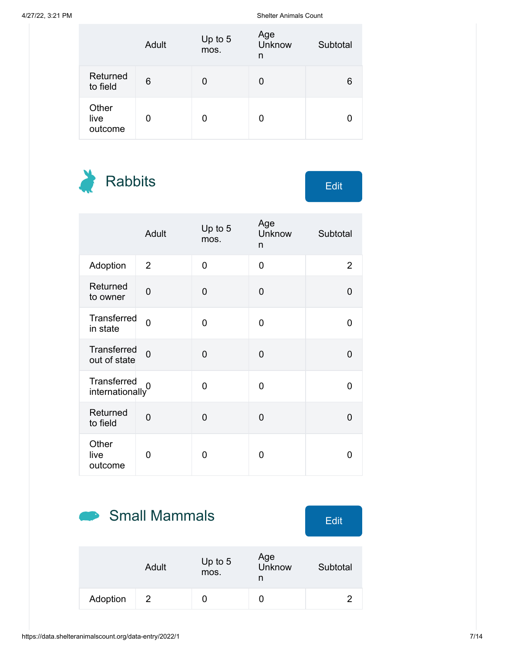|                          | Adult | Up to 5<br>mos. | Age<br>Unknow<br>n | Subtotal |
|--------------------------|-------|-----------------|--------------------|----------|
| Returned<br>to field     | 6     |                 | 0                  | 6        |
| Other<br>live<br>outcome | O     |                 | 0                  |          |

Rabbits Edit

|                                    | <b>Adult</b>   | Up to 5<br>mos. | Age<br>Unknow<br>n | Subtotal       |
|------------------------------------|----------------|-----------------|--------------------|----------------|
| Adoption                           | $\overline{2}$ | $\overline{0}$  | $\overline{0}$     | $\overline{2}$ |
| Returned<br>to owner               | $\overline{0}$ | $\overline{0}$  | $\overline{0}$     | $\overline{0}$ |
| Transferred<br>in state            | $\overline{0}$ | $\overline{0}$  | 0                  | 0              |
| <b>Transferred</b><br>out of state | $\overline{0}$ | $\overline{0}$  | $\overline{0}$     | 0              |
| Transferred<br>internationally     | 0              | 0               | 0                  | 0              |
| Returned<br>to field               | $\overline{0}$ | $\overline{0}$  | 0                  | 0              |
| Other<br>live<br>outcome           | 0              | 0               | 0                  | 0              |

## Small Mammals Edit

|          | Adult | Up to $5$<br>mos. | Age<br>Unknow | Subtotal |
|----------|-------|-------------------|---------------|----------|
| Adoption | 2     |                   |               |          |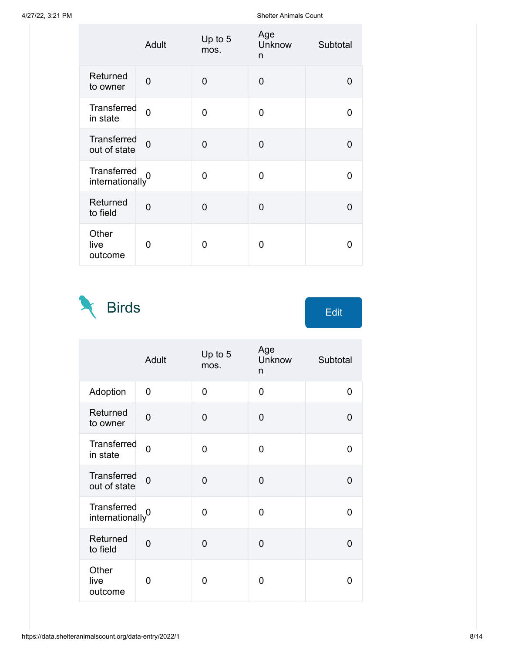|                                | Adult          | Up to 5<br>mos. | Age<br>Unknow<br>n | Subtotal |
|--------------------------------|----------------|-----------------|--------------------|----------|
| Returned<br>to owner           | 0              | 0               | 0                  | 0        |
| Transferred<br>in state        | $\overline{0}$ | 0               | 0                  | O        |
| Transferred<br>out of state    | $\overline{0}$ | $\overline{0}$  | 0                  | O        |
| Transferred<br>internationally |                | 0               | 0                  | O        |
| Returned<br>to field           | $\overline{0}$ | $\overline{0}$  | 0                  | O        |
| Other<br>live<br>outcome       | ი              | O               | 0                  | 0        |

Birds Edit  $\mathcal{N}$ 

|                                | Adult          | Up to 5<br>mos. | Age<br>Unknow<br>n | Subtotal       |
|--------------------------------|----------------|-----------------|--------------------|----------------|
| Adoption                       | $\overline{0}$ | $\overline{0}$  | $\overline{0}$     | $\overline{0}$ |
| Returned<br>to owner           | $\overline{0}$ | $\overline{0}$  | $\mathbf 0$        | 0              |
| Transferred<br>in state        | $\overline{0}$ | 0               | 0                  | 0              |
| Transferred<br>out of state    | $\overline{0}$ | $\overline{0}$  | 0                  | 0              |
| Transferred<br>internationally |                | 0               | 0                  | 0              |
| Returned<br>to field           | $\overline{0}$ | $\mathbf 0$     | 0                  | 0              |
| Other<br>live<br>outcome       | 0              | 0               | 0                  | ი              |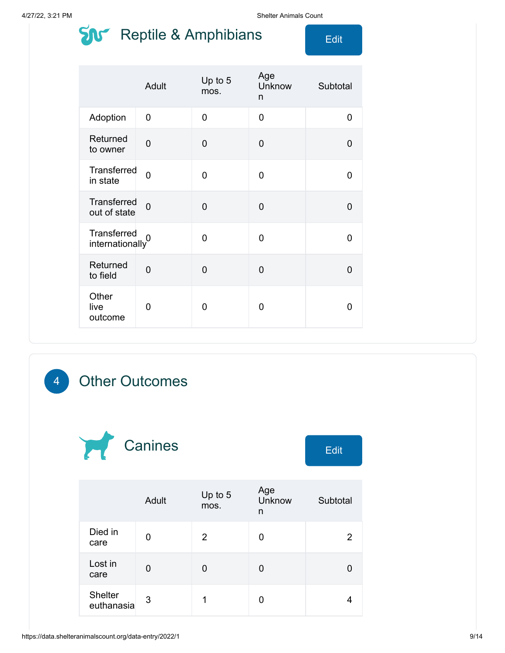### $\sum_{i=1}^{n}$  Reptile & Amphibians  $\sum_{i=1}^{n}$

|                                             | Adult          | Up to 5<br>mos. | Age<br>Unknow<br>n | Subtotal |
|---------------------------------------------|----------------|-----------------|--------------------|----------|
| Adoption                                    | 0              | $\overline{0}$  | 0                  | 0        |
| Returned<br>to owner                        | $\overline{0}$ | $\overline{0}$  | $\overline{0}$     | $\Omega$ |
| Transferred<br>in state                     | $\Omega$       | $\overline{0}$  | 0                  | 0        |
| Transferred<br>out of state                 | $\overline{0}$ | $\overline{0}$  | $\overline{0}$     | 0        |
| Transferred<br>internationally <sup>0</sup> |                | $\overline{0}$  | $\mathbf 0$        | 0        |
| Returned<br>to field                        | $\overline{0}$ | $\overline{0}$  | $\overline{0}$     | 0        |
| Other<br>live<br>outcome                    | 0              | 0               | 0                  | 0        |

### 4 Other Outcomes



|                              | Adult | Up to $5$<br>mos. | Age<br><b>Unknow</b><br>n | Subtotal |
|------------------------------|-------|-------------------|---------------------------|----------|
| Died in<br>care              | 0     | 2                 | 0                         | 2        |
| Lost in<br>care              | 0     | 0                 | 0                         |          |
| <b>Shelter</b><br>euthanasia | 3     |                   | 0                         |          |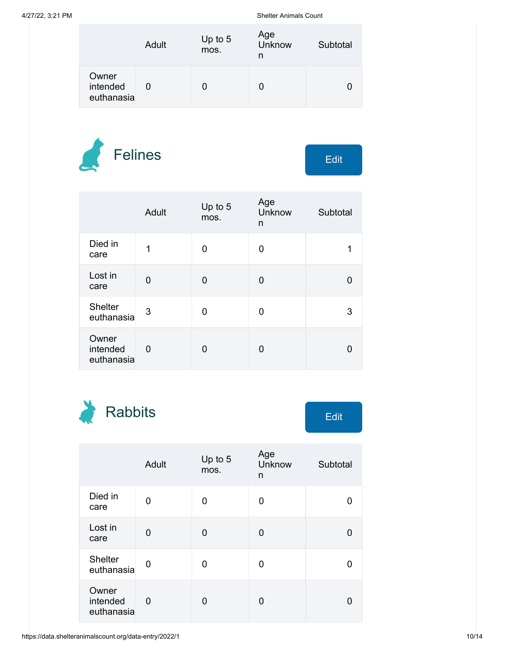|                                 | Adult | Up to $5$<br>mos. | Age<br>Unknow<br>n | Subtotal |
|---------------------------------|-------|-------------------|--------------------|----------|
| Owner<br>intended<br>euthanasia |       |                   |                    |          |





|                                 | Adult    | Up to 5<br>mos. | Age<br>Unknow<br>n | Subtotal |
|---------------------------------|----------|-----------------|--------------------|----------|
| Died in<br>care                 | 1        | 0               | 0                  |          |
| Lost in<br>care                 | $\Omega$ | 0               | 0                  |          |
| <b>Shelter</b><br>euthanasia    | 3        | 0               | 0                  | 3        |
| Owner<br>intended<br>euthanasia | 0        | 0               | 0                  |          |



|                                 | Adult       | Up to 5<br>mos. | Age<br>Unknow<br>n | Subtotal |
|---------------------------------|-------------|-----------------|--------------------|----------|
| Died in<br>care                 | 0           | 0               | 0                  |          |
| Lost in<br>care                 | 0           | 0               | 0                  |          |
| <b>Shelter</b><br>euthanasia    | $\mathbf 0$ | 0               | 0                  |          |
| Owner<br>intended<br>euthanasia | 0           | 0               | 0                  |          |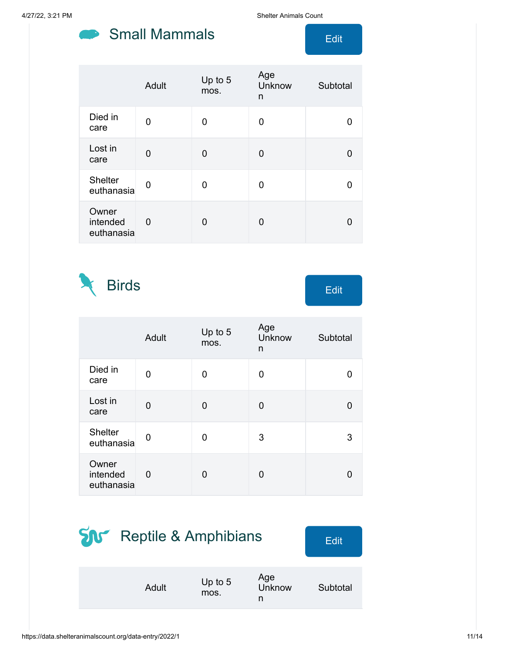#### Small Mammals **Edit**

4/27/22, 3:21 PM Shelter Animals Count

|                                 | Adult | Up to 5<br>mos. | Age<br>Unknow<br>n | Subtotal |
|---------------------------------|-------|-----------------|--------------------|----------|
| Died in<br>care                 | 0     | 0               | 0                  |          |
| Lost in<br>care                 | 0     | 0               | 0                  |          |
| <b>Shelter</b><br>euthanasia    | 0     | 0               | O                  |          |
| Owner<br>intended<br>euthanasia | 0     | 0               | 0                  |          |

Birds Edit

|                                 | Adult       | Up to 5<br>mos. | Age<br>Unknow<br>n | Subtotal |
|---------------------------------|-------------|-----------------|--------------------|----------|
| Died in<br>care                 | 0           | 0               | 0                  | U        |
| Lost in<br>care                 | 0           | 0               | 0                  | U        |
| <b>Shelter</b><br>euthanasia    | $\mathbf 0$ | 0               | 3                  | 3        |
| Owner<br>intended<br>euthanasia | 0           | 0               | U                  | O        |

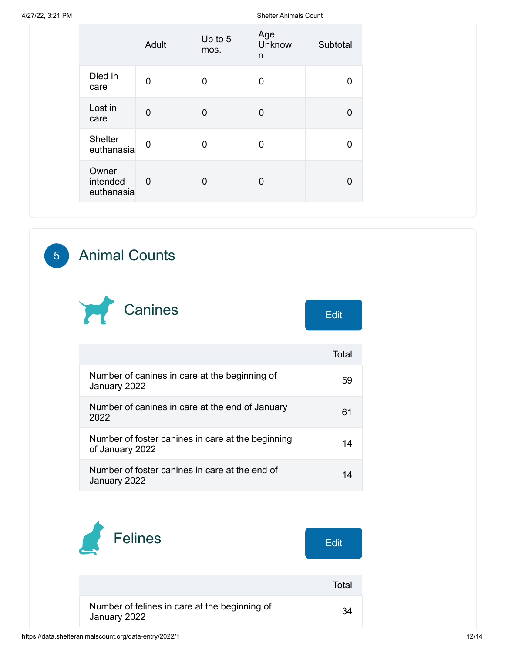|                                 | Adult          | Up to 5<br>mos. | Age<br>Unknow<br>n | Subtotal |
|---------------------------------|----------------|-----------------|--------------------|----------|
| Died in<br>care                 | 0              | $\Omega$        | 0                  | 0        |
| Lost in<br>care                 | $\overline{0}$ | 0               | 0                  | 0        |
| Shelter<br>euthanasia           | $\mathbf 0$    | $\Omega$        | 0                  | 0        |
| Owner<br>intended<br>euthanasia | $\overline{0}$ | 0               | 0                  | 0        |

#### 5 Animal Counts



|                                                                      | Total |
|----------------------------------------------------------------------|-------|
| Number of canines in care at the beginning of<br>January 2022        | 59    |
| Number of canines in care at the end of January<br>2022              | 61    |
| Number of foster canines in care at the beginning<br>of January 2022 | 14    |
| Number of foster canines in care at the end of<br>January 2022       |       |

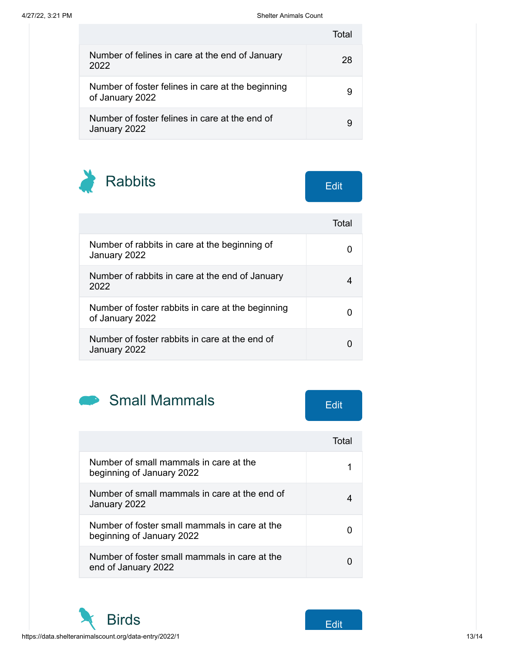|                                                                      | Total |
|----------------------------------------------------------------------|-------|
| Number of felines in care at the end of January<br>2022              | 28    |
| Number of foster felines in care at the beginning<br>of January 2022 |       |
| Number of foster felines in care at the end of<br>January 2022       |       |

Rabbits Edit

|                                                                      | Total |
|----------------------------------------------------------------------|-------|
| Number of rabbits in care at the beginning of<br>January 2022        |       |
| Number of rabbits in care at the end of January<br>2022              |       |
| Number of foster rabbits in care at the beginning<br>of January 2022 |       |
| Number of foster rabbits in care at the end of<br>January 2022       |       |



|                                                                            | Total |
|----------------------------------------------------------------------------|-------|
| Number of small mammals in care at the<br>beginning of January 2022        |       |
| Number of small mammals in care at the end of<br>January 2022              |       |
| Number of foster small mammals in care at the<br>beginning of January 2022 |       |
| Number of foster small mammals in care at the<br>end of January 2022       |       |